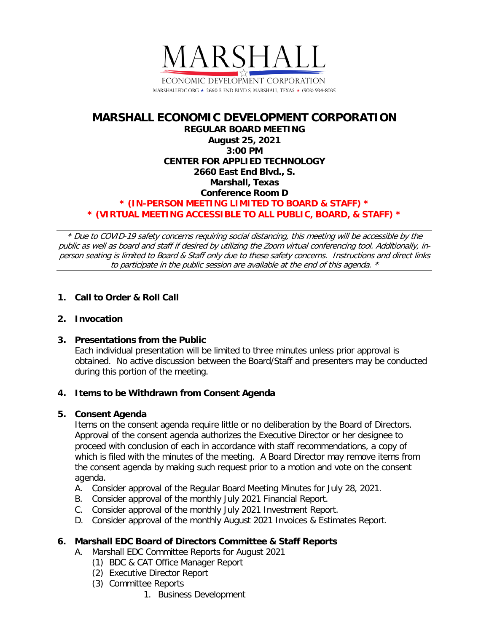

### **MARSHALL ECONOMIC DEVELOPMENT CORPORATION REGULAR BOARD MEETING August 25, 2021 3:00 PM CENTER FOR APPLIED TECHNOLOGY 2660 East End Blvd., S. Marshall, Texas Conference Room D \* (IN-PERSON MEETING LIMITED TO BOARD & STAFF) \* \* (VIRTUAL MEETING ACCESSIBLE TO ALL PUBLIC, BOARD, & STAFF) \***

\* Due to COVID-19 safety concerns requiring social distancing, this meeting will be accessible by the public as well as board and staff if desired by utilizing the Zoom virtual conferencing tool. Additionally, inperson seating is limited to Board & Staff only due to these safety concerns. Instructions and direct links to participate in the public session are available at the end of this agenda. \*

# **1. Call to Order & Roll Call**

#### **2. Invocation**

# **3. Presentations from the Public**

Each individual presentation will be limited to three minutes unless prior approval is obtained. No active discussion between the Board/Staff and presenters may be conducted during this portion of the meeting.

#### **4. Items to be Withdrawn from Consent Agenda**

#### **5. Consent Agenda**

Items on the consent agenda require little or no deliberation by the Board of Directors. Approval of the consent agenda authorizes the Executive Director or her designee to proceed with conclusion of each in accordance with staff recommendations, a copy of which is filed with the minutes of the meeting. A Board Director may remove items from the consent agenda by making such request prior to a motion and vote on the consent agenda.

- A. Consider approval of the Regular Board Meeting Minutes for July 28, 2021.
- B. Consider approval of the monthly July 2021 Financial Report.
- C. Consider approval of the monthly July 2021 Investment Report.
- D. Consider approval of the monthly August 2021 Invoices & Estimates Report.

# **6. Marshall EDC Board of Directors Committee & Staff Reports**

- A. Marshall EDC Committee Reports for August 2021
	- (1) BDC & CAT Office Manager Report
	- (2) Executive Director Report
	- (3) Committee Reports
		- 1. Business Development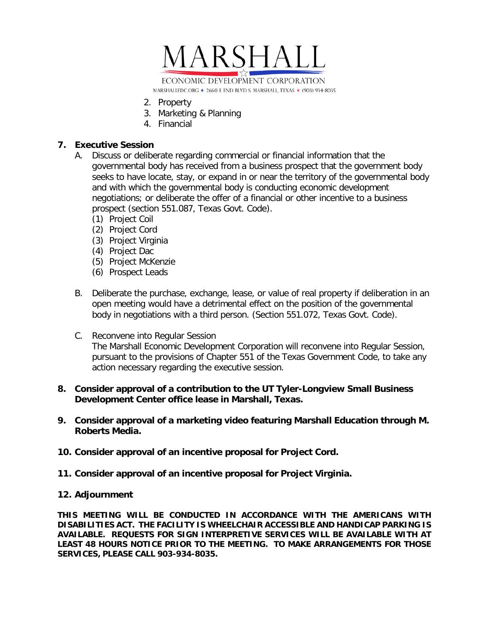

- 2. Property
- 3. Marketing & Planning
- 4. Financial

### **7. Executive Session**

- A. Discuss or deliberate regarding commercial or financial information that the governmental body has received from a business prospect that the government body seeks to have locate, stay, or expand in or near the territory of the governmental body and with which the governmental body is conducting economic development negotiations; or deliberate the offer of a financial or other incentive to a business prospect (section 551.087, Texas Govt. Code).
	- (1) Project Coil
	- (2) Project Cord
	- (3) Project Virginia
	- (4) Project Dac
	- (5) Project McKenzie
	- (6) Prospect Leads
- B. Deliberate the purchase, exchange, lease, or value of real property if deliberation in an open meeting would have a detrimental effect on the position of the governmental body in negotiations with a third person. (Section 551.072, Texas Govt. Code).
- C. Reconvene into Regular Session The Marshall Economic Development Corporation will reconvene into Regular Session, pursuant to the provisions of Chapter 551 of the Texas Government Code, to take any action necessary regarding the executive session.

#### **8. Consider approval of a contribution to the UT Tyler-Longview Small Business Development Center office lease in Marshall, Texas.**

- **9. Consider approval of a marketing video featuring Marshall Education through M. Roberts Media.**
- **10. Consider approval of an incentive proposal for Project Cord.**
- **11. Consider approval of an incentive proposal for Project Virginia.**

#### **12. Adjournment**

**THIS MEETING WILL BE CONDUCTED IN ACCORDANCE WITH THE AMERICANS WITH DISABILITIES ACT. THE FACILITY IS WHEELCHAIR ACCESSIBLE AND HANDICAP PARKING IS AVAILABLE. REQUESTS FOR SIGN INTERPRETIVE SERVICES WILL BE AVAILABLE WITH AT LEAST 48 HOURS NOTICE PRIOR TO THE MEETING. TO MAKE ARRANGEMENTS FOR THOSE SERVICES, PLEASE CALL 903-934-8035.**